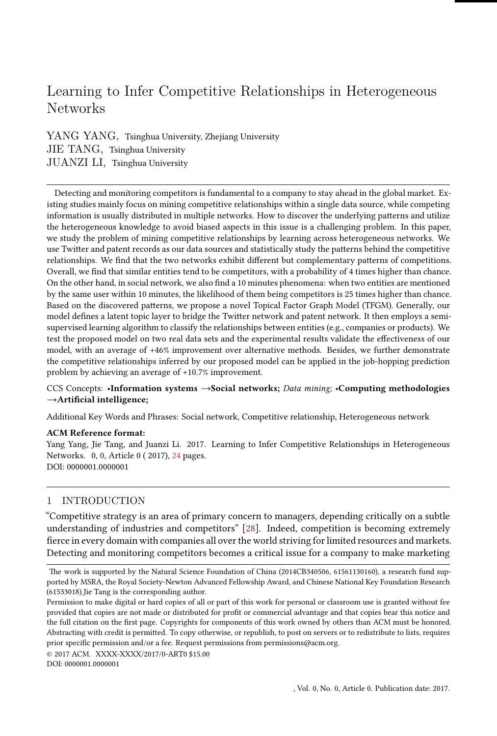YANG YANG, Tsinghua University, Zhejiang University JIE TANG, Tsinghua University JUANZI LI, Tsinghua University

Detecting and monitoring competitors is fundamental to a company to stay ahead in the global market. Existing studies mainly focus on mining competitive relationships within a single data source, while competing information is usually distributed in multiple networks. How to discover the underlying patterns and utilize the heterogeneous knowledge to avoid biased aspects in this issue is a challenging problem. In this paper, we study the problem of mining competitive relationships by learning across heterogeneous networks. We use Twitter and patent records as our data sources and statistically study the patterns behind the competitive relationships. We find that the two networks exhibit different but complementary patterns of competitions. Overall, we find that similar entities tend to be competitors, with a probability of 4 times higher than chance. On the other hand, in social network, we also find a 10 minutes phenomena: when two entities are mentioned by the same user within 10 minutes, the likelihood of them being competitors is 25 times higher than chance. Based on the discovered patterns, we propose a novel Topical Factor Graph Model (TFGM). Generally, our model defines a latent topic layer to bridge the Twitter network and patent network. It then employs a semisupervised learning algorithm to classify the relationships between entities (e.g., companies or products). We test the proposed model on two real data sets and the experimental results validate the effectiveness of our model, with an average of +46% improvement over alternative methods. Besides, we further demonstrate the competitive relationships inferred by our proposed model can be applied in the job-hopping prediction problem by achieving an average of +10.7% improvement.

# CCS Concepts: •**Information s[yst](#page-23-0)ems** →**Social networks;** *Data mining;* •**Computing methodologies** →**Artificial intelligence;**

Additional Key Words and Phrases: Social network, Competitive relationship, Heterogeneous network

#### **ACM Reference format:**

Yang Yang, Jie Tang, and Juanzi Li. 2017. Learning [to](#page-22-0) Infer Competitive Relationships in Heterogeneous Networks. 0, 0, Article 0 ( 2017), 24 pages. DOI: 0000001.0000001

# 1 INTRODUCTION

"Competitive strategy is an area of primary concern to managers, depending critically on a subtle understanding of industries and competitors" [28]. Indeed, competition is becoming extremely fierce in every domain with companies all over the world striving for limited resources and markets. Detecting and monitoring competitors becomes a critical issue for a company to make marketing

© 2017 ACM. XXXX-XXXX/2017/0-ART0 \$15.00

DOI: 0000001.0000001

The work is supported by the Natural Science Foundation of China (2014CB340506, 61561130160), a research fund supported by MSRA, the Royal Society-Newton Advanced Fellowship Award, and Chinese National Key Foundation Research (61533018).Jie Tang is the corresponding author.

Permission to make digital or hard copies of all or part of this work for personal or classroom use is granted without fee provided that copies are not made or distributed for profit or commercial advantage and that copies bear this notice and the full citation on the first page. Copyrights for components of this work owned by others than ACM must be honored. Abstracting with credit is permitted. To copy otherwise, or republish, to post on servers or to redistribute to lists, requires prior specific permission and/or a fee. Request permissions from permissions@acm.org.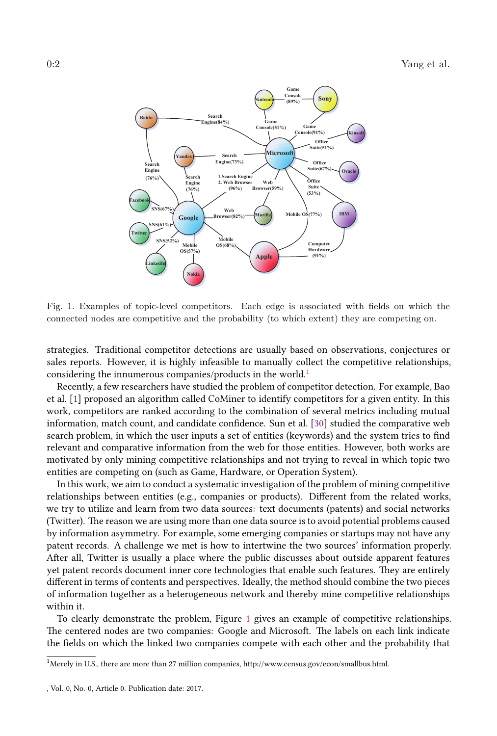<span id="page-1-1"></span>

Fig. 1. Examples of topic-level competitors. Each edge is a[ss](#page-1-0)ociated with fields on which the conne[ct](#page-21-0)ed nodes are competitive and the probability (to which extent) they are competing on.

strategies. Traditional competitor detections are usually based [on](#page-22-1) observations, conjectures or sales reports. However, it is highly infeasible to manually collect the competitive relationships, considering the innumerous companies/products in the world.<sup>1</sup>

Recently, a few researchers have studied the problem of competitor detection. For example, Bao et al. [1] proposed an algorithm called CoMiner to identify competitors for a given entity. In this work, competitors are ranked according to the combination of several metrics including mutual information, match count, and candidate confidence. Sun et al. [30] studied the comparative web search problem, in which the user inputs a set of entities (keywords) and the system tries to find relevant and comparative information from the web for those entities. However, both works are motivated by only mining competitive relationships and not trying to reveal in which topic two entities are competing on (such as Game, Hardware, or Operation System).

In this work, we aim to conduct a systematic investigation of the problem of mining competitive relationships between entities (e.g., companies or products). Different from the related works, we try to utilize and learn from two data sources: text documents (patents) and social networks (Twitter). The reason we are using more than one data source is to avoid potential problems caused by information asymmetry. For example, some emerging companies or startups may not have any patent records. A challenge we met is how to [in](#page-1-1)tertwine the two sources' information properly. After all, Twitter is usually a place where the public discusses about outside apparent features yet patent records document inner core technologies that enable such features. They are entirely different in terms of contents and perspectives. Ideally, the method should combine the two pieces of information together as a heterogeneous network and thereby mine competitive relationships within it.

<span id="page-1-0"></span>To clearly demonstrate the problem, Figure 1 gives an example of competitive relationships. The centered nodes are two companies: Google and Microsoft. The labels on each link indicate the fields on which the linked two companies compete with each other and the probability that

<sup>1</sup>Merely in U.S., there are more than 27 million companies, http://www.census.gov/econ/smallbus.html.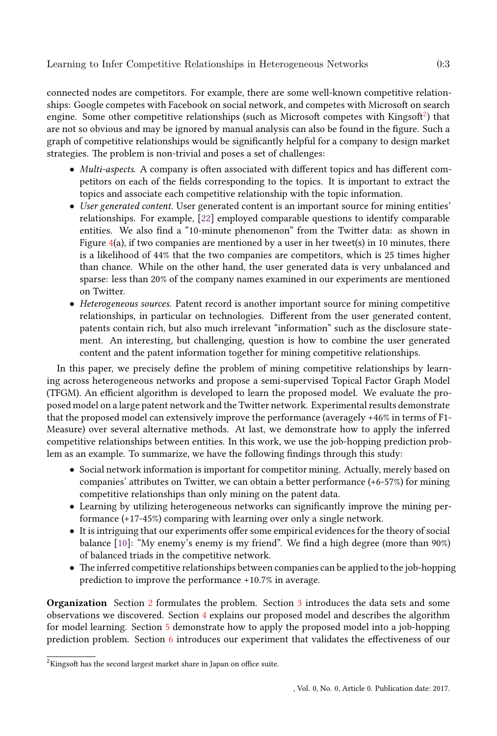connected nodes are competitors. For example, there are some well-known competitive relationships: Google competes with Facebook on social network, and competes with Microsoft on search engine. Some other competitive relationships (such as Microsoft competes with Kingsoft<sup>2</sup>) that are not so obvious and may be ignored by manual analysis can also be found in the figure. Such a graph of competitive relationships w[oul](#page-22-2)d be significantly helpful for a company to design market strategies. The problem is non-trivial and poses a set of challenges:

- *Multi-[as](#page-6-0)pects*. A company is often associated with different topics and has different competitors on each of the fields corresponding to the topics. It is important to extract the topics and associate each competitive relationship with the topic information.
- *User generated content*. User generated content is an important source for mining entities' relationships. For example, [22] employed comparable questions to identify comparable entities. We also find a "10-minute phenomenon" from the Twitter data: as shown in Figure  $4(a)$ , if two companies are mentioned by a user in her tweet(s) in 10 minutes, there is a likelihood of 44% that the two companies are competitors, which is 25 times higher than chance. While on the other hand, the user generated data is very unbalanced and sparse: less than 20% of the company names examined in our experiments are mentioned on Twitter.
- *Heterogeneous sources*. Patent record is another important source for mining competitive relationships, in particular on technologies. Different from the user generated content, patents contain rich, but also much irrelevant "information" such as the disclosure statement. An interesting, but challenging, question is how to combine the user generated content and the patent information together for mining competitive relationships.

In this paper, we precisely define the problem of mining competitive relationships by learning across heterogeneous networks and propose a semi-supervised Topical Factor Graph Model (TFGM). An efficient algorithm is developed to learn the proposed model. We evaluate the proposed model on a large patent network and the Twitter network. Experimental results demonstrate that the proposed model can extensively improve the performance (averagely +46% in terms of F1- Measure) over several alternative methods. At last, we demonstrate how to apply the inferred competitive relationships between entities. In this work, we use the job-hopping prediction problem as an example. To summarize, we have the following findings through this study:

- Social ne[tw](#page-21-1)ork information is important for competitor mining. Actually, merely based on companies' attributes on Twitter, we can obtain a better performance (+6-57%) for mining competitive relationships than only mining on the patent data.
- Learning by utilizing heterogeneous networks can significantly improve the mining performance (+17-45%) comparing with learning over only a single network.
- It is intriguing t[ha](#page-3-0)t our experiments offer some empi[ric](#page-4-0)al evidences for the theory of social balance [10]: "My enemy's e[ne](#page-7-0)my is my friend". We find a high degree (more than 90%) of balanced triads in [t](#page-11-0)he competitive network.
- The inferred competit[iv](#page-12-0)e relationships between companies can be applied to the job-hopping prediction to improve the performance +10.7% in average.

**Organization** Section 2 formulates the problem. Section 3 introduces the data sets and some observations we discovered. Section 4 explains our proposed model and describes the algorithm for model learning. Section 5 demonstrate how to apply the proposed model into a job-hopping prediction problem. Section 6 introduces our experiment that validates the effectiveness of our

 $2$ Kingsoft has the second largest market share in Japan on office suite.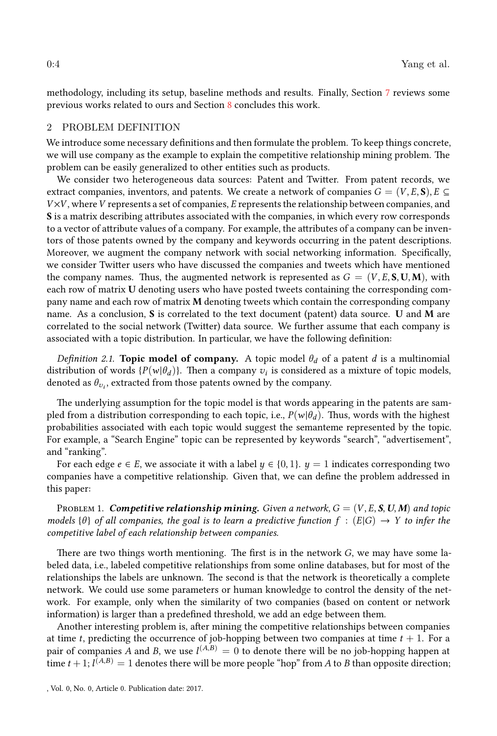<span id="page-3-0"></span>methodology, including its setup, baseline methods and results. Finally, Section 7 reviews some previous works related to ours and Section 8 concludes this work.

# 2 PROBLEM DEFINITION

We introduce some necessary definitions and then formulate the problem. To keep things concrete, we will use company as the example to explain the competitive relationship mining problem. The problem can be easily generalized to other entities such as products.

We consider two heterogeneous data sources: Patent and Twitter. From patent records, we extract companies, inventors, and patents. We create a network of companies  $G = (V, E, S), E \subseteq$ *V*×*V* , where*V* represents a set of companies, *E* represents the relationship between companies, and **S** is a matrix describing attributes associated with the companies, in which every row corresponds to a vector of attribute values of a company. For example, the attributes of a company can be inventors of those patents owned by the company and keywords occurring in the patent descriptions. Moreover, we augment the company network with social networking information. Specifically, we consider Twitter users who have discussed the companies and tweets which have mentioned the company names. Thus, the augmented network is represented as  $G = (V, E, S, U, M)$ , with each row of matrix **U** denoting users who have posted tweets containing the corresponding company name and each row of matrix **M** denoting tweets which contain the corresponding company name. As a conclusion, **S** is correlated to the text document (patent) data source. **U** and **M** are correlated to the social network (Twitter) data source. We further assume that each company is associated with a topic distribution. In particular, we have the following definition:

*Definition 2.1.* **Topic model of company.** A topic model  $\theta_d$  of a patent *d* is a multinomial distribution of words  $\{P(w|\theta_d)\}$ . Then a company  $v_i$  is considered as a mixture of topic models, denoted as  $\theta_{v_i}$ , extracted from those patents owned by the company.

The underlying assumption for the topic model is that words appearing in the patents are sampled from a distribution corresponding to each topic, i.e.,  $P(w|\theta_d)$ . Thus, words with the highest probabilities associated with each topic would suggest the semanteme represented by the topic. For example, a "Search Engine" topic can be represented by keywords "search", "advertisement", and "ranking".

For each edge  $e \in E$ , we associate it with a label  $\psi \in \{0, 1\}$ .  $\psi = 1$  indicates corresponding two companies have a competitive relationship. Given that, we can define the problem addressed in this paper:

PROBLEM 1. *Competitive relationship mining. Given a network*,  $G = (V, E, S, U, M)$  *and topic models*  $\{\theta\}$  *of all companies, the goal is to learn a predictive function*  $f : (E|G) \rightarrow Y$  *to infer the competitive label of each relationship between companies.*

There are two things worth mentioning. The first is in the network *G*, we may have some labeled data, i.e., labeled competitive relationships from some online databases, but for most of the relationships the labels are unknown. The second is that the network is theoretically a complete network. We could use some parameters or human knowledge to control the density of the network. For example, only when the similarity of two companies (based on content or network information) is larger than a predefined threshold, we add an edge between them.

Another interesting problem is, after mining the competitive relationships between companies at time  $t$ , predicting the occurrence of job-hopping between two companies at time  $t + 1$ . For a pair of companies *A* and *B*, we use  $l^{(A,B)} = 0$  to denote there will be no job-hopping happen at time  $t + 1;$   $l^{(A,B)} = 1$  denotes there will be more people "hop" from  $A$  to  $B$  than opposite direction;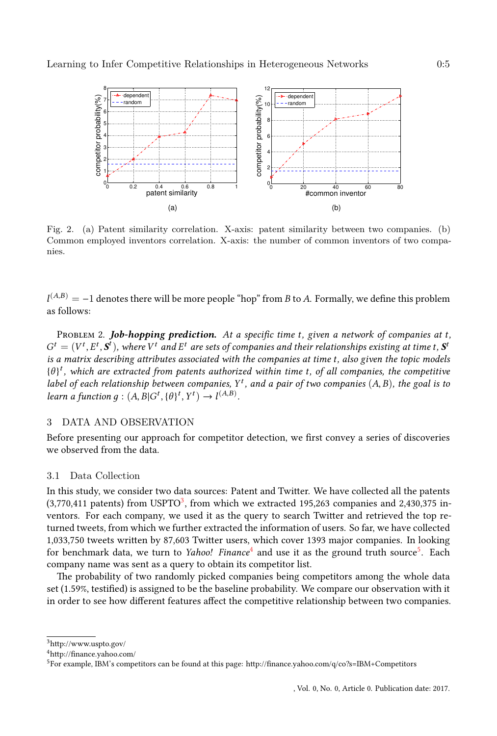<span id="page-4-2"></span>

Fig. 2. (a) Patent similarity correlation. X-axis: patent similarity between two companies. (b) Common employed inventors correlation. X-axis: the number of common inventors of two companies.

 $l^{(A,B)} = -1$  denotes there will be more people "hop" from *B* to *A*. Formally, we define this problem as follows:

<span id="page-4-0"></span>Problem 2. *Job-hopping prediction. At a specific time t, given a network of companies at t,*  $G^t = (V^t, E^t, \mathcal{S}^t)$ , where  $V^t$  and  $E^t$  are sets of companies and their relationships existing at time t,  $\mathcal{S}^t$ *is a matrix describing attributes associated with the companies at time t, also given the topic models* {*θ* } *t , which are extracted from patents authorized within time t, of all companies, the competitive label of each relationship between companies,*  $Y<sup>t</sup>$ *, and a pair of two companies*  $(A, B)$ *, the goal is to learn a function g* :  $(A, B|G^t, {\theta}^t, Y^t) \rightarrow l^{(A,B)}$ .

# 3 DATA AND OBSERVATI[O](#page-4-1)N

Before presenting our approach for competitor detection, we first convey a series of discoveries we observed from the data.

# 3.1 Data Collection

In this study, we consider two data sources: Patent and Twitter. We have collected all the patents  $(3,770,411$  patents) from USPTO<sup>3</sup>, from which we extracted 195,263 companies and 2,430,375 inventors. For each company, we used it as the query to search Twitter and retrieved the top returned tweets, from which we further extracted the information of users. So far, we have collected 1,033,750 tweets written by 87,603 Twitter users, which cover 1393 major companies. In looking for benchmark data, we turn to *Yahoo! Finance*<sup>4</sup> and use it as the ground truth source<sup>5</sup>. Each company name was sent as a query to obtain its competitor list.

<span id="page-4-1"></span>The probability of two randomly picked companies being competitors among the whole data set (1.59%, testified) is assigned to be the baseline probability. We compare our observation with it in order to see how different features affect the competitive relationship between two companies.

<sup>3</sup>http://www.uspto.gov/

<sup>4</sup>http://finance.yahoo.com/

<sup>5</sup>For example, IBM's competitors can be found at this page: http://finance.yahoo.com/q/co?s=IBM+Competitors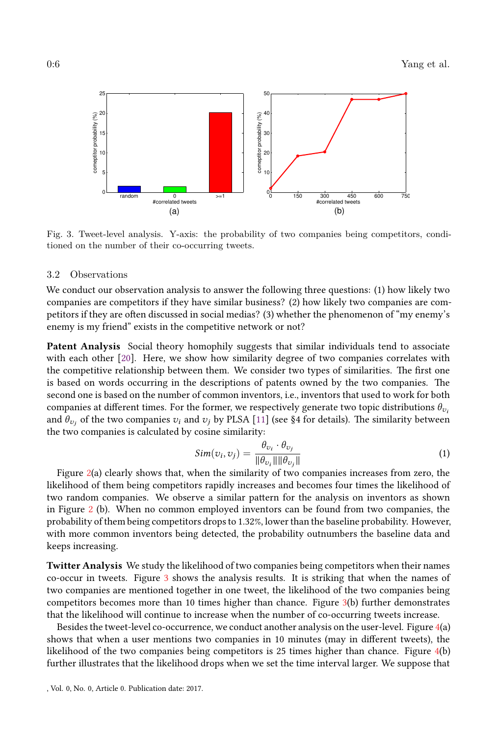<span id="page-5-0"></span>

Fig. 3. Tweet-level analysis. Y-axis: the probability of two companies being competitors, conditioned on the number of their co-occurring tweets.

### 3.2 Observations

We conduct our o[bse](#page-22-3)rvation analysis to answer the following three questions: (1) how likely two companies are competitors if they have similar business? (2) how likely two companies are competitors if they are often discussed in social medias? (3) whether the phenomenon of "my enemy's enemy is my friend" exists in the competitive network or not?

**Patent Analysis** Social theory homophily sug[gest](#page-22-4)s that similar individuals tend to associate with each other [20]. Here, we show how similarity degree of two companies correlates with the competitive relationship between them. We consider two types of similarities. The first one is based on words occurring in the descriptions of patents owned by the two companies. The second o[ne](#page-4-2) is based on the number of common inventors, i.e., inventors that used to work for both companies at different times. For the former, we respectively generate two topic distributions *θv<sup>i</sup>* and  $\theta_{v_j}$  of the two companies  $v_i$  and  $v_j$  by PLSA [11] (see §4 for details). The similarity between the two c[om](#page-4-2)panies is calculated by cosine similarity:

$$
Sim(v_i, v_j) = \frac{\theta_{v_i} \cdot \theta_{v_j}}{\|\theta_{v_i}\| \|\theta_{v_j}\|}
$$
\n(1)

Figure 2(a) clearly shows that, when the similarity of two companies increases from zero, the likelihood of them being competitors rapidly increases and becomes four times the likelihood of two random companies. We observe a similar pattern for the analysis on inventors as shown in Figure 2 (b). When noc[om](#page-5-0)mon employed inventors can be found from two companies, the probability of them being competitors drops to 1.32%, lower than the baseline probability. However, with more common inventors being detected, the probability outnum[be](#page-5-0)rs the baseline data and keeps increasing.

**Twitter Analysis** We study the likelihood of two companies being competitors when their names co-occur in tweets. Figure 3 shows the analysis results. It is striking that when the name[s](#page-6-0) of two companies are mentioned together in one tweet, the likelihood of the two companies being competitors becomes more than 10 times higher than chance. Figure 3(b) further demonstrates that the likelihood will continue to increase when the number of co-occurring tweets increase.

Besides the tweet-level co-occurrence, we conduct another analysis on the user-level. Figure 4(a) shows that when a user mentions two companies in 10 minutes (may in different tweets), the likelihood of the two companies being competitors is 25 times higher than chance. Figure 4(b) further illustrates that the likelihood drops when we set the time interval larger. We suppose that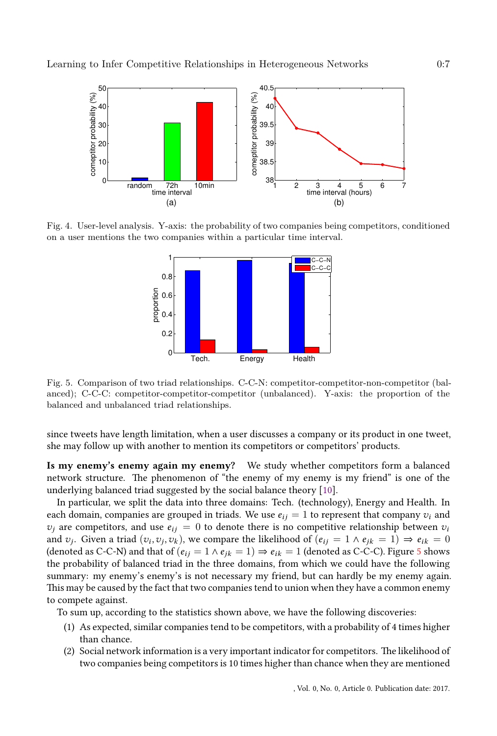<span id="page-6-0"></span>

<span id="page-6-1"></span>Fig. 4. User-level analysis. Y-axis: the probability of two companies being competitors, conditioned on a user mentions the two companies within a particular time interval.



Fig. 5. Comparison of two triad relationships. C-C-N: competitor-competitor-non-competitor (balanced); C-C-C: competitor-competitor-competitor (unbalanced). Y-axis: the proportion of the balanced and unbalanced triad relationships.

since tweets have length limitation, when a user discusses a company or its product in one tweet, she may follow up with another to mention its competitors or competitors' products.

**Is my enemy's enemy again my enemy?** We study whether competitors form a balanced network structure. The phenomenon of "the enemy of my enemy is my friend" is on[e](#page-6-1) of the underlying balanced triad suggested by the social balance theory [10].

In particular, we split the data into three domains: Tech. (technology), Energy and Health. In each domain, companies are grouped in triads. We use  $e_{ij} = 1$  to represent that company  $v_i$  and  $v_i$  are competitors, and use  $e_{ij} = 0$  to denote there is no competitive relationship between  $v_i$ and  $v_j$ . Given a triad  $(v_i, v_j, v_k)$ , we compare the likelihood of  $(e_{ij} = 1 \land e_{jk} = 1) \Rightarrow e_{ik} = 0$ (denoted as C-C-N) and that of  $(e_{ij} = 1 \land e_{jk} = 1) \Rightarrow e_{ik} = 1$  (denoted as C-C-C). Figure 5 shows the probability of balanced triad in the three domains, from which we could have the following summary: my enemy's enemy's is not necessary my friend, but can hardly be my enemy again. This may be caused by the fact that two companies tend to union when they have a common enemy to compete against.

To sum up, according to the statistics shown above, we have the following discoveries:

- (1) As expected, similar companies tend to be competitors, with a probability of 4 times higher than chance.
- (2) Social network information is a very important indicator for competitors. The likelihood of two companies being competitors is 10 times higher than chance when they are mentioned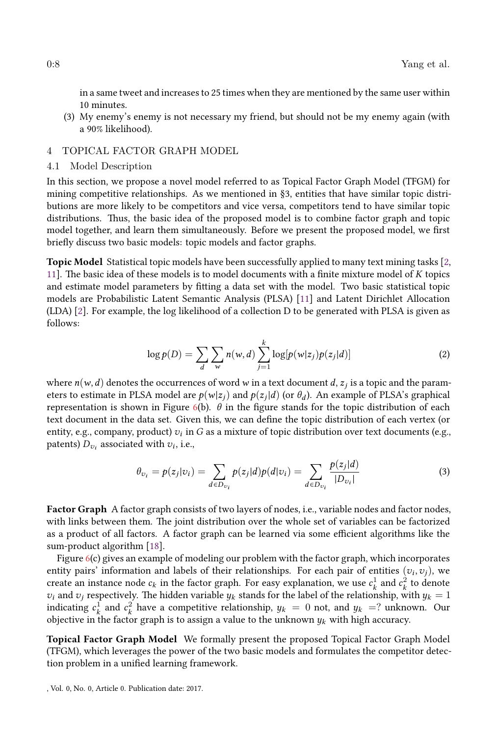in a same tweet and increases to 25 times when they are mentioned by the same user within 10 minutes.

(3) My enemy's enemy is not necessary my friend, but should not be my enemy again (with a 90% likelihood).

# 4 TOPICAL FACTOR GRAPH MODEL

#### 4.1 Model Description

In this section, we propose a novel model referred to as Topical Factor Graph Model (TFGM) for mining competitive relationships. As we mentioned in §3, entities that have similar topic dist[ri](#page-21-2)[bu](#page-22-4)tions are more likely to be competitors and vice versa, competitors tend to have similar topic distributions. Thus, the basic idea of the proposed model is to combine factor graph and topic model together, and learn them simultaneously. Before we [pre](#page-22-4)sent the proposed model, we first briefly [di](#page-21-2)scuss two basic models: topic models and factor graphs.

**Topic Model** Statistical topic models have been successfully applied to many text mining tasks [2, 11]. The basic idea of these models is to model documents with a finite mixture model of *K* topics and estimate model parameters by fitting a data set with the model. Two basic statistical topic models are Probabilistic Latent Semantic Analysis (PLSA) [11] and Latent Dirichlet Allocation (LDA) [2]. For example, the log likelihood of a collection D to be generated with PLSA is given as follows:

$$
\log p(D) = \sum_{d} \sum_{w} n(w, d) \sum_{j=1}^{k} \log[p(w|z_j)p(z_j|d)] \tag{2}
$$

where  $n(w,d)$  denotes the occurrences of word  $w$  in a text document  $d$ ,  $z_j$  is a topic and the parameters to estimate in PLSA model are  $p(w|z_j)$  and  $p(z_j|d)$  (or  $\theta_d$ ). An example of PLSA's graphical representation is shown in Figure 6(b). *θ* in the figure stands for the topic distribution of each text document in the data set. Given this, we can define the topic distribution of each vertex (or entity, e.g., company, product) *v<sup>i</sup>* in *G* as a mixture of topic distribution over text documents (e.g., patents)  $D_{v_i}$  associated with  $v_i$ , i.e.,

$$
\theta_{v_i} = p(z_j | v_i) = \sum_{d \in D_{v_i}} p(z_j | d) p(d | v_i) = \sum_{d \in D_{v_i}} \frac{p(z_j | d)}{|D_{v_i}|}
$$
(3)

Factor Graph A factor graph consists of two layers of nodes, i.e., variable nodes and factor nodes, with links between them. The joint distribution over the whole set of variables can be factorized as a product of all factors. A factor graph can be learned via some efficient algorithms like the sum-product algorithm [18].

Figure 6(c) gives an example of modeling our problem with the factor graph, which incorporates entity pairs' information and labels of their relationships. For each pair of entities  $(v_i, v_j)$ , we create an instance node  $c_k$  in the factor graph. For easy explanation, we use  $c_k^1$  and  $c_k^2$  to denote  $v_i$  and  $v_j$  respectively. The hidden variable  $y_k$  stands for the label of the relationship, with  $y_k = 1$ indicating  $c_k^1$  and  $c_k^2$  have a competitive relationship,  $y_k = 0$  not, and  $y_k = ?$  unknown. Our objective in the factor graph is to assign a value to the unknown  $y_k$  with high accuracy.

**Topical Factor Graph Model** We formally present the proposed Topical Factor Graph Model (TFGM), which leverages the power of the two basic models and formulates the competitor detection problem in a unified learning framework.

, Vol. 0, No. 0, Article 0. Publication date: 2017.

<span id="page-7-0"></span>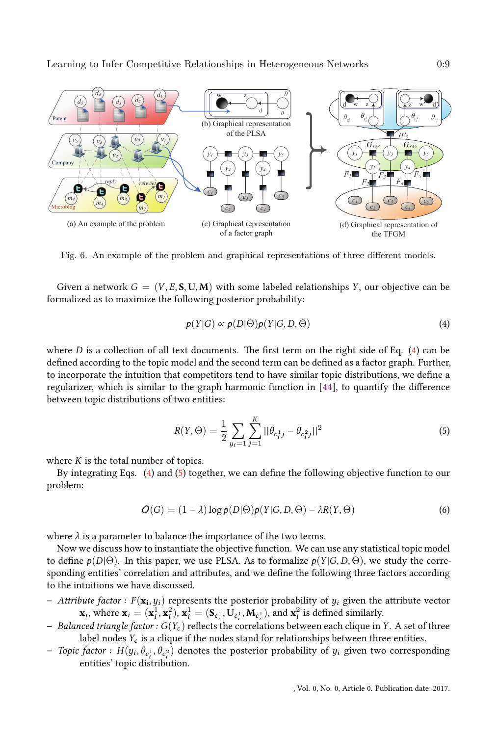<span id="page-8-3"></span>

Fig. 6. An example of the problem and graphical representations of three different models.

Given a network  $G = (V, E, S, U, M)$  with some labeled relationships Y, our objective can be formalized as to maximize the following posterior probability:

<span id="page-8-1"></span><span id="page-8-0"></span>
$$
p(Y|G) \propto p(D|\Theta)p(Y|G, D, \Theta)
$$
\n(4)

where *D* is a collection of all text documents. The first term on the right side of Eq. (4) can be defined according to the topic model and the second term can be defined as a factor graph. Further, to incorporate the intuition that competitors tend to have similar topic distributions, we define a regularizer, which is similar to the graph harmonic function in [44], to quantify the difference between topic distributi[on](#page-8-0)s oft[w](#page-8-1)o entities:

<span id="page-8-2"></span>
$$
R(Y, \Theta) = \frac{1}{2} \sum_{y_i=1}^{N} \sum_{j=1}^{K} ||\theta_{c_i^1 j} - \theta_{c_i^2 j}||^2
$$
 (5)

where *K* is the total number of topics.

By integrating Eqs. (4) and (5) together, we can define the following objective function to our problem:

$$
O(G) = (1 - \lambda) \log p(D|\Theta) p(Y|G, D, \Theta) - \lambda R(Y, \Theta)
$$
\n(6)

where  $\lambda$  is a parameter to balance the importance of the two terms.

Now we discuss how to instantiate the objective function. We can use any statistical topic model to define  $p(D|\Theta)$ . In this paper, we use PLSA. As to formalize  $p(Y|G, D, \Theta)$ , we study the corresponding entities' correlation and attributes, and we define the following three factors according to the intuitions we have discussed.

- **–** *Attribute factor : F* (**x<sup>i</sup>** ,*yi*) represents the posterior probability of *y<sup>i</sup>* given the attribute vector  $\mathbf{x}_i$ , where  $\mathbf{x}_i = (\mathbf{x}_i^1, \mathbf{x}_i^2), \mathbf{x}_i^1 = (\mathbf{S}_{c_i^1}, \mathbf{U}_{c_i^1}, \mathbf{M}_{c_i^1}),$  and  $\mathbf{x}_i^2$  is defined similarly.
- *Balanced triangle factor* :  $G(Y_c)$  reflects the correlations between each clique in *Y*. A set of three label nodes  $Y_c$  is a clique if the nodes stand for relationships between three entities.
- *Topic factor* :  $H(y_i, \theta_{c_i^1}, \theta_{c_i^2})$  denotes the posterior probability of  $y_i$  given two corresponding entities' topic distribution.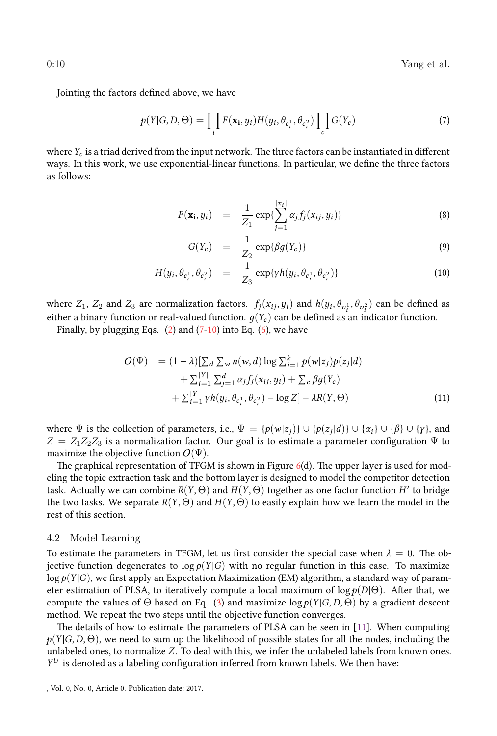0:10 Yang et al.

Jointing the factors defined above, we have

<span id="page-9-1"></span><span id="page-9-0"></span>
$$
p(Y|G, D, \Theta) = \prod_{i} F(\mathbf{x_i}, y_i) H(y_i, \theta_{c_i^1}, \theta_{c_i^2}) \prod_{c} G(Y_c)
$$
\n<sup>(7)</sup>

where  $Y_c$  is a triad derived from the input network. The three factors can be instantiated in different ways. In this work, we use exponential-linear functions. In particular, we define the three factors as follows:

$$
F(\mathbf{x_i}, y_i) = \frac{1}{Z_1} \exp{\{\sum_{j=1}^{|x_i|} \alpha_j f_j(x_{ij}, y_i)\}}
$$
\n(8)

$$
G(Y_c) = \frac{1}{Z_2} \exp\{\beta g(Y_c)\}\tag{9}
$$

$$
H(y_i, \theta_{c_i^1}, \theta_{c_i^2}) = \frac{1}{Z_3} \exp\{ \gamma h(y_i, \theta_{c_i^1}, \theta_{c_i^2}) \}
$$
(10)

where  $Z_1$ ,  $Z_2$  and  $Z_3$  are normalization factors.  $f_j(x_{ij}, y_i)$  and  $h(y_i, \theta_{v_i^1}, \theta_{v_i^2})$  can be defined as either a binary function or real-valued function.  $q(Y_c)$  can be defined as an indicator function.

Finally, by plugging Eqs.  $(2)$  and  $(7-10)$  into Eq.  $(6)$ , we have

$$
O(\Psi) = (1 - \lambda) [\sum_{d} \sum_{w} n(w, d) \log \sum_{j=1}^{k} p(w|z_j) p(z_j|d) + \sum_{i=1}^{|Y|} \sum_{j=1}^{d} \alpha_j f_j(x_i, y_i) + \sum_{c} \beta g(Y_c) + \sum_{i=1}^{|Y|} \gamma h(y_i, \theta_{c_i^1}, \theta_{c_i^2}) - \log Z] - \lambda R(Y, \Theta)
$$
(11)

where  $\Psi$  is the collection of parameters, i.e.,  $\Psi = \{p(w|z_j)\} \cup \{p(z_j|d)\} \cup \{\alpha_i\} \cup \{\beta\} \cup \{\gamma\}$ , and  $Z = Z_1 Z_2 Z_3$  is a normalization factor. Our goal is to estimate a parameter configuration  $\Psi$  to maximize the objective function  $O(\Psi)$ .

The graphical representation of TFGM is shown in Figure 6(d). The upper layer is used for modeling the topic extraction task and the bottom layer is designed to model the competitor detection task. Actually we can combine *R*(*Y*, Θ) and *H*(*Y*, Θ) together as one factor function *H* ′ to bridge the two tasks. We separate  $R(Y, \Theta)$  and  $H(Y, \Theta)$  to easily explain how we learn the model in the rest of this section.

# 4.2 Model Learning

To estimate the parameters in TFGM, let us first consider the special cas[e w](#page-22-4)hen  $\lambda = 0$ . The objective function degenerates to  $\log p(Y|G)$  with no regular function in this case. To maximize  $\log p(Y|G)$ , we first apply an Expectation Maximization (EM) algorithm, a standard way of parameter estimation of PLSA, to iteratively compute a local maximum of  $\log p(D|\Theta)$ . After that, we compute the values of  $\Theta$  based on Eq. (3) and maximize  $\log p(Y|G, D, \Theta)$  by a gradient descent method. We repeat the two steps until the objective function converges.

The details of how to estimate the parameters of PLSA can be seen in [11]. When computing  $p(Y|G, D, \Theta)$ , we need to sum up the likelihood of possible states for all the nodes, including the unlabeled ones, to normalize *Z*. To deal with this, we infer the unlabeled labels from known ones.  $Y^U$  is denoted as a labeling configuration inferred from known labels. We then have:

, Vol. 0, No. 0, Article 0. Publication date: 2017.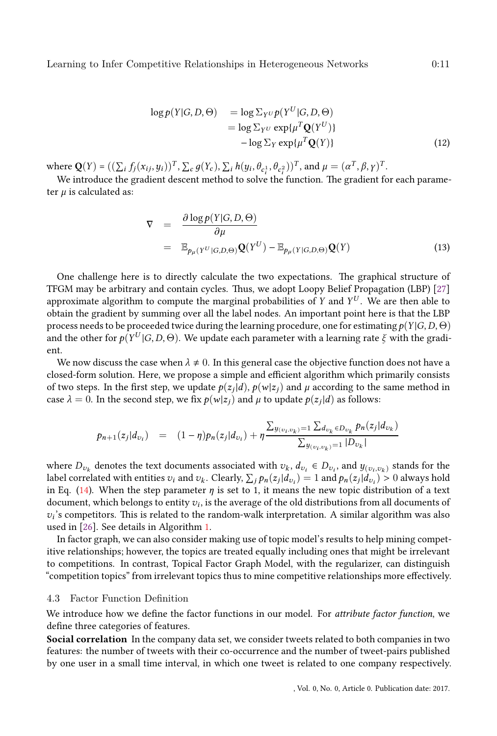$$
\log p(Y|G, D, \Theta) = \log \sum_{Y} v p(Y^U|G, D, \Theta)
$$
  
= 
$$
\log \sum_{Y} v \exp{\{\mu^T \mathbf{Q}(Y^U)\}}
$$
  
- 
$$
\log \sum_{Y} \exp{\{\mu^T \mathbf{Q}(Y)\}}
$$
 (12)

where  $\mathbf{Q}(Y) = ((\sum_i f_j(x_{ij}, y_i))^T, \sum_c g(Y_c), \sum_i h(y_i, \theta_{c_i^1}, \theta_{c_i^2}))^T$ , and  $\mu = (\alpha^T, \beta, \gamma)^T$ .

We introduce the gradient descent method to solve the function. The gradient for each parameter  $\mu$  is calculated as:

$$
\nabla = \frac{\partial \log p(Y|G, D, \Theta)}{\partial \mu}
$$
  
=  $\mathbb{E}_{p_{\mu}(Y^U|G, D, \Theta)} \mathbf{Q}(Y^U) - \mathbb{E}_{p_{\mu}(Y|G, D, \Theta)} \mathbf{Q}(Y)$  (13)

One challenge here is to directly calculate the two expectations. The graphical structure of TFGM may be arbitrary and contain cycles. Thus, we adopt Loopy Belief Propagation (LBP) [27] approximate algorithm to compute the marginal probabilities of  $Y$  and  $Y^U$ . We are then able to obtain the gradient by summing over all the label nodes. An important point here is that the LBP process needs to be proceeded twice during the learning procedure, one for estimating  $p(Y|G, D, \Theta)$ and the other for  $p(Y^U|G,D,\Theta)$ . We update each parameter with a learning rate  $\xi$  with the gradient.

<span id="page-10-0"></span>We now discuss the case when  $\lambda \neq 0$ . In this general case the objective function does not have a closed-form solution. Here, we propose a simple and efficient algorithm which primarily consists of two steps. In the first step, we update  $p(z_j|d)$ ,  $p(w|z_j)$  and  $\mu$  according to the same method in case  $λ = 0$ . In the second step, we fix  $p(w|z_j)$  and  $μ$  to update  $p(z_j|d)$  as follows:

$$
p_{n+1}(z_j|d_{v_i}) = (1-\eta)p_n(z_j|d_{v_i}) + \eta \frac{\sum_{y_{(v_i,v_k)}}=1 \sum_{d_{v_k}} \epsilon_{D_{v_k}} p_n(z_j|d_{v_k})}{\sum_{y_{(v_i,v_k)}}=1 |D_{v_k}|}
$$

where  $D_{v_k}$  denotes the text documents associated with  $v_k$ ,  $d_{v_i} \in D_{v_i}$ , and  $y_{(v_i, v_k)}$  stands for the label correlated with entities  $v_i$  and  $v_k$ . Clearly,  $\sum_j p_n(z_j|d_{v_i})=1$  and  $p_n(z_j|d_{v_i})>0$  always hold in Eq. (14). When the step parameter  $\eta$  is set to 1, it means the new topic distribution of a text document, which belongs to entity  $v_i$ , is the average of the old distributions from all documents of  $v_i$ 's competitors. This is related to the random-walk interpretation. A similar algorithm was also used in [26]. See details in Algorithm 1.

In factor graph, we can also consider making use of topic model's results to help mining competitive relationships; however, the topics are treated equally including ones that might be irrelevant to competitions. In contrast, Topical Factor Graph Model, with the regularizer, can distinguish "competition topics" from irrelevant topics thus to mine competitive relationships more effectively.

# 4.3 Factor Function Definition

We introduce how we define the factor functions in our model. For *attribute factor function*, we define three categories of features.

**Social correlation** In the company data set, we consider tweets related to both companies in two features: the number of tweets with their co-occurrence and the number of tweet-pairs published by one user in a small time interval, in which one tweet is related to one company respectively.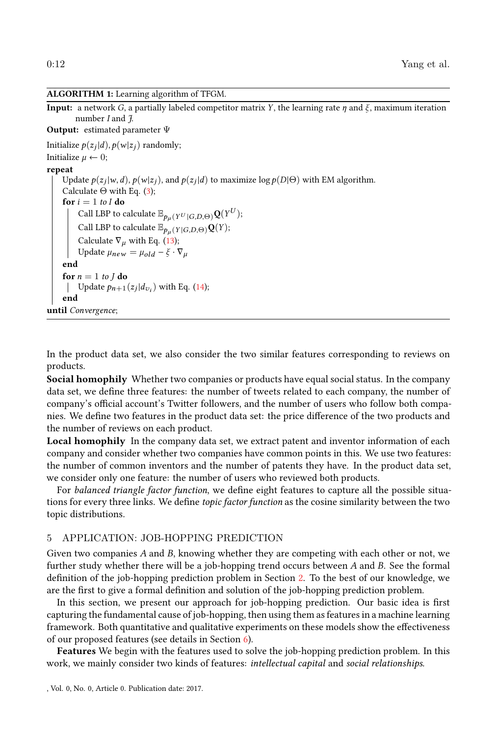### **ALGORITHM 1:** Learning algorithm of TFGM.

**Input:** a network *G*, a partially labeled competitor matrix *Y*, the learning rate *η* and *ξ*, maximum iteration number *I* and *J*. **Output:** estimated parameter Ψ Initialize  $p(z_j|d)$ ,  $p(w|z_j)$  randomly; Initialize *µ* ← 0; **repeat** Update  $p(z_j|w, d)$ ,  $p(w|z_j)$ , and  $p(z_j|d)$  to maximize  $\log p(D|\Theta)$  with EM algorithm. Calculate  $\Theta$  with Eq. (3); **for**  $i = 1$  *to*  $I$  **do** Call LBP to calculate  $\mathbb{E}_{p_{\mu}(Y^U \mid G, D, \Theta)} \mathbf{Q}(Y^U);$  $\mathbb{E}_{p_{\mu}(Y^U \mid G, D, \Theta)} \mathbf{Q}(Y^U);$  $\mathbb{E}_{p_{\mu}(Y^U \mid G, D, \Theta)} \mathbf{Q}(Y^U);$ Call LBP to calculate  $\mathbb{E}_{p_{\mu}(Y|G,D,\Theta)}\mathbf{Q}(Y);$ Calculate  $\nabla_{\mu}$  with Eq. (13); Update  $\mu_{new} = \mu_{old} - \xi \cdot \nabla_{\mu}$ **end for**  $n = 1$  *to*  $J$  **do** Update  $p_{n+1}(z_j|d_{v_i})$  with Eq. (14); **end until** *Convergence*;

In the product data set, we also consider the two similar features corresponding to reviews on products.

**Social homophily** Whether two companies or products have equal social status. In the company data set, we define three features: the number of tweets related to each company, the number of company's official account's Twitter followers, and the number of users who follow both companies. We define two features in the product data set: the price difference of the two products and the number of reviews on each product.

<span id="page-11-0"></span>**Local homophily** In the company data set, we extract patent and inventor information of each company and consider whether two companies have common points in this. We use two features: the number of common inventors and the number of patents they have. In the product data set, we consider only one feature: the number of users who reviewed both products.

For *balanced triangle factor function*, we define eight features to capture all the possible situations for every three links. We define *topic factor function* as [th](#page-3-0)e cosine similarity between the two topic distributions.

### 5 APPLICATION: JOB-HOPPING PREDICTION

Given two companies *A* and *B*, knowing whether they are competing with each other or not, we further study whether there will be a job-hopp[in](#page-12-0)g trend occurs between *A* and *B*. See the formal definition of the job-hopping prediction problem in Section 2. To the best of our knowledge, we are the first to give a formal definition and solution of the job-hopping prediction problem.

In this section, we present our approach for job-hopping prediction. Our basic idea is first capturing the fundamental cause of job-hopping, then using them as features in a machine learning framework. Both quantitative and qualitative experiments on these models show the effectiveness of our proposed features (see details in Section 6).

**Features** We begin with the features used to solve the job-hopping prediction problem. In this work, we mainly consider two kinds of features: *intellectual capital* and *social relationships*.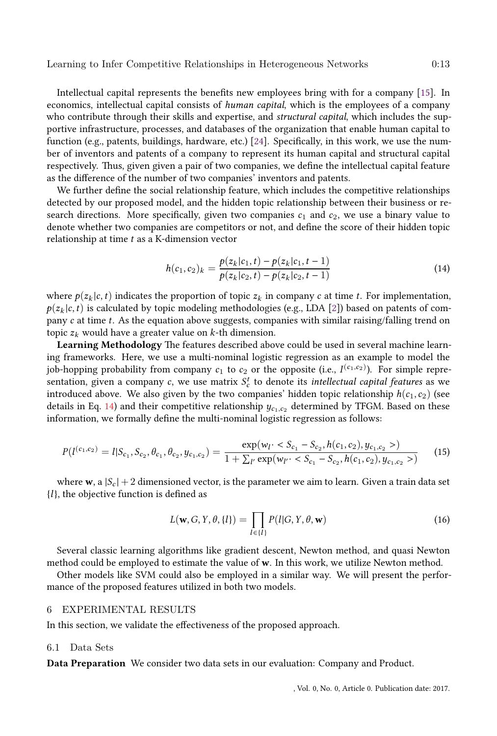Intellectual capital represents the benefits new employees bring with for a company [15]. In economics, intellectual capital consists of *human capital*, which is the employees of a company who contribute through their skills and expertise, and *structural capital*, which includes the supportive infrastructure, processes, and databases of the organization that enable human capital to function (e.g., patents, buildings, hardware, etc.) [24]. Specifically, in this work, we use the number of inventors and patents of a company to represent its human capital and structural capital respectively. Thus, given given a pair of two companies, we define the intellectual capital feature as the difference of the number of two companies' inventors and patents.

We further define the social relationship feature, which includes the competitive relationships detected by our proposed model, and the hidden topic relationship between their business or research directions. More specifically, given two companies  $c_1$  and  $c_2$ , we use a binary value to denote whether two companies are competitors or not, and define t[he](#page-21-2) score of their hidden topic relationship at time *t* as a K-dimension vector

<span id="page-12-1"></span>
$$
h(c_1, c_2)_k = \frac{p(z_k|c_1, t) - p(z_k|c_1, t - 1)}{p(z_k|c_2, t) - p(z_k|c_2, t - 1)}
$$
(14)

where  $p(z_k|c, t)$  indicates the proportion of topic  $z_k$  in company *c* at time *t*. For implementation,  $p(z_k|c,t)$  is calculated by topic modeling methodologies (e.g., LDA [2]) based on patents of company *c* at time *t*. As the equation above suggests, companies with similar raising/falling trend on topic *z<sup>k</sup>* woul[d h](#page-12-1)ave a greater value on *k*-th dimension.

**Learning Methodology** The features described above could be used in several machine learning frameworks. Here, we use a multi-nominal logistic regression as an example to model the job-hopping probability from company  $c_1$  to  $c_2$  or the opposite (i.e.,  $I^{(c_1,c_2)}$ ). For simple representation, given a company  $c$ , we use matrix  $S_c^t$  to denote its *intellectual capital features* as we introduced above. We also given by the two companies' hidden topic relationship  $h(c_1, c_2)$  (see details in Eq. 14) and their competitive relationship  $y_{c_1,c_2}$  determined by TFGM. Based on these information, we formally define the multi-nominal logistic regression as follows:

$$
P(l^{(c_1,c_2)} = l | S_{c_1}, S_{c_2}, \theta_{c_1}, \theta_{c_2}, y_{c_1,c_2}) = \frac{\exp(w_l \cdot S_{c_1} - S_{c_2}, h(c_1,c_2), y_{c_1,c_2} >)}{1 + \sum_{l'} \exp(w_{l'} \cdot S_{c_1} - S_{c_2}, h(c_1,c_2), y_{c_1,c_2} >)} \tag{15}
$$

where **w**, a  $|S_c| + 2$  dimensioned vector, is the parameter we aim to learn. Given a train data set {*l*}, the objective function is defined as

$$
L(\mathbf{w}, G, Y, \theta, \{l\}) = \prod_{l \in \{l\}} P(l|G, Y, \theta, \mathbf{w})
$$
\n(16)

<span id="page-12-0"></span>Several classic learning algorithms like gradient descent, Newton method, and quasi Newton method could be employed to estimate the value of **w**. In this work, we utilize Newton method.

Other models like SVM could also be employed in a similar way. We will present the performance of the proposed features utilized in both two models.

# 6 EXPERIMENTAL RESULTS

In this section, we validate the effectiveness of the proposed approach.

# 6.1 Data Sets

**Data Preparation** We consider two data sets in our evaluation: Company and Product.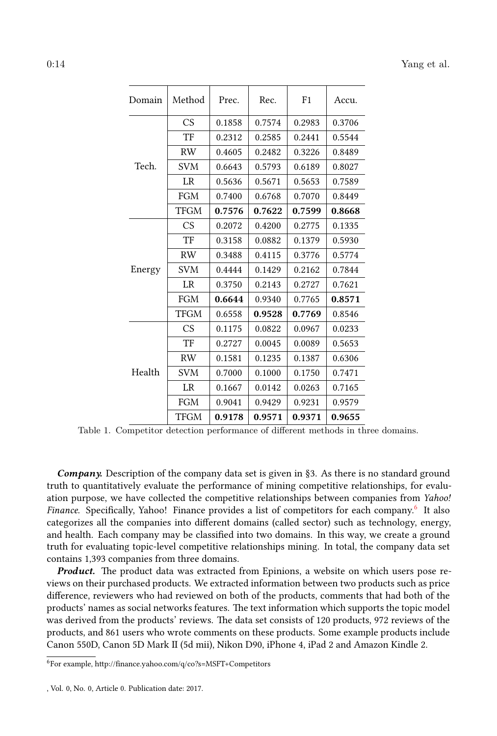<span id="page-13-1"></span>0:14 Yang et al.

| Domain | Method      | Prec.  | Rec.   | F <sub>1</sub> | Accu.  |
|--------|-------------|--------|--------|----------------|--------|
|        | CS          | 0.1858 | 0.7574 | 0.2983         | 0.3706 |
|        | TF          | 0.2312 | 0.2585 | 0.2441         | 0.5544 |
|        | RW          | 0.4605 | 0.2482 | 0.3226         | 0.8489 |
| Tech.  | <b>SVM</b>  | 0.6643 | 0.5793 | 0.6189         | 0.8027 |
|        | LR          | 0.5636 | 0.5671 | 0.5653         | 0.7589 |
|        | <b>FGM</b>  | 0.7400 | 0.6768 | 0.7070         | 0.8449 |
|        | <b>TFGM</b> | 0.7576 | 0.7622 | 0.7599         | 0.8668 |
|        | <b>CS</b>   | 0.2072 | 0.4200 | 0.2775         | 0.1335 |
|        | TF          | 0.3158 | 0.0882 | 0.1379         | 0.5930 |
|        | RW          | 0.3488 | 0.4115 | 0.3776         | 0.5774 |
| Energy | <b>SVM</b>  | 0.4444 | 0.1429 | 0.2162         | 0.7844 |
|        | LR          | 0.3750 | 0.2143 | 0.2727         | 0.7621 |
|        | <b>FGM</b>  | 0.6644 | 0.9340 | 0.7765         | 0.8571 |
|        | <b>TFGM</b> | 0.6558 | 0.9528 | 0.7769         | 0.8546 |
| Health | CS          | 0.1175 | 0.0822 | 0.0967         | 0.0233 |
|        | TF          | 0.2727 | 0.0045 | 0.0089         | 0.5653 |
|        | RW          | 0.1581 | 0.1235 | 0.1387         | 0.6306 |
|        | <b>SVM</b>  | 0.7000 | 0.1000 | 0.1750         | 0.7471 |
|        | LR          | 0.1667 | 0.0142 | 0.0263         | 0.7165 |
|        | <b>FGM</b>  | 0.9041 | 0.9429 | 0.9231         | 0.9579 |
|        | TFGM        | 0.9178 | 0.9571 | 0.9371         | 0.9655 |

Table 1. Competitor detection performance of different methods in three domain[s.](#page-13-0)

*Company.* Description of the company data set is given in §3. As there is no standard ground truth to quantitatively evaluate the performance of mining competitive relationships, for evaluation purpose, we have collected the competitive relationships between companies from *Yahoo!* Finance. Specifically, Yahoo! Finance provides a list of competitors for each company.<sup>6</sup> It also categorizes all the companies into different domains (called sector) such as technology, energy, and health. Each company may be classified into two domains. In this way, we create a ground truth for evaluating topic-level competitive relationships mining. In total, the company data set contains 1,393 companies from three domains.

<span id="page-13-0"></span>*Product.* The product data was extracted from Epinions, a website on which users pose reviews on their purchased products. We extracted information between two products such as price difference, reviewers who had reviewed on both of the products, comments that had both of the products' names as social networks features. The text information which supports the topic model was derived from the products' reviews. The data set consists of 120 products, 972 reviews of the products, and 861 users who wrote comments on these products. Some example products include Canon 550D, Canon 5D Mark II (5d mii), Nikon D90, iPhone 4, iPad 2 and Amazon Kindle 2.

<sup>6</sup>For example, http://finance.yahoo.com/q/co?s=MSFT+Competitors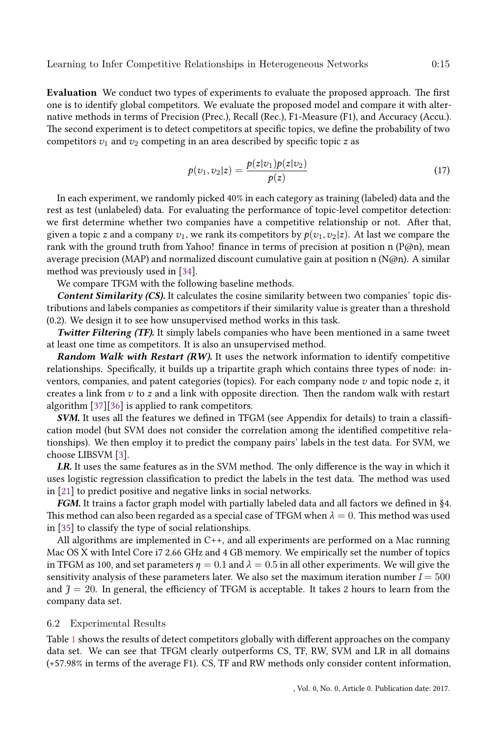**Evaluation** We conduct two types of experiments to evaluate the proposed approach. The first one is to identify global competitors. We evaluate the proposed model and compare it with alternative methods in terms of Precision (Prec.), Recall (Rec.), F1-Measure (F1), and Accuracy (Accu.). The second experiment is to detect competitors at specific topics, we define the probability of two competitors  $v_1$  and  $v_2$  competing in an area described by specific topic *z* as

$$
p(v_1, v_2|z) = \frac{p(z|v_1)p(z|v_2)}{p(z)}
$$
\n(17)

In each experiment, we rando[mly](#page-22-7) picked 40% in each category as training (labeled) data and the rest as test (unlabeled) data. For evaluating the performance of topic-level competitor detection: we first determine whether two companies have a competitive relationship or not. After that, given a topic *z* and a company  $v_1$ , we rank its competitors by  $p(v_1, v_2|z)$ . At last we compare the rank with the ground truth from Yahoo! finance in terms of precision at position n (P@n), mean average precision (MAP) and normalized discount cumulative gain at position n (N@n). A similar method was previously used in [34].

We compare TFGM with the following baseline methods.

*Content Similarity (CS).* It calculates the cosine similarity between two companies' topic distributions and labels companies as competitors if their similarity value is greater than a threshold (0.2). We design it to see how unsupervised method works in this task.

*Twitter [Fil](#page-22-8)t[eri](#page-22-9)ng (TF).* It simply labels companies who have been mentioned in a same tweet at least one time as competitors. It is also an unsupervised method.

*Random Walk with Restart (RW).* It uses the network information to identify competitive relationships. Specifically, it builds up a tripartite graph which contains three types of node: inventors, compani[es](#page-21-3), and patent categories (topics). For each company node *v* and topic node *z*, it creates a link from *v* to *z* and a link with opposite direction. Then the random walk with restart algorithm [37][36] is applied to rank competitors.

*[SVM](#page-22-10).* It uses all the features we defined in TFGM (see Appendix for details) to train a classification model (but SVM does not consider the correlation among the identified competitive relationships). We then employ it to predict the company pairs' labels in the test data. For SVM, we ch[oos](#page-22-11)e LIBSVM [3].

*LR.* It uses the same features as in the SVM method. The only difference is the way in which it uses logistic regression classification to predict the labels in the test data. The method was used in [21] to predict positive and negative links in social networks.

*FGM.* It trains a factor graph model with partially labeled data and all factors we defined in §4. This method can also been regarded as a special case of TFGM when  $\lambda = 0$ . This method was used in [35] to classify the type of social relationships.

All algorithms are implemented in C++, and all experiments are performed on a Mac running Mac OS X with Intel Core i7 2.66 GHz and 4 GB memory. We empirically set the number of topics in TF[GM](#page-13-1) as 100, and set parameters  $\eta = 0.1$  and  $\lambda = 0.5$  in all other experiments. We will give the sensitivity analysis of these parameters later. We also set the maximum iteration number  $I = 500$ and  $\mathcal{J} = 20$ . In general, the efficiency of TFGM is acceptable. It takes 2 hours to learn from the company data set.

# 6.2 Experimental Results

Table 1 shows the results of detect competitors globally with different approaches on the company data set. We can see that TFGM clearly outperforms CS, TF, RW, SVM and LR in all domains (+57.98% in terms of the average F1). CS, TF and RW methods only consider content information,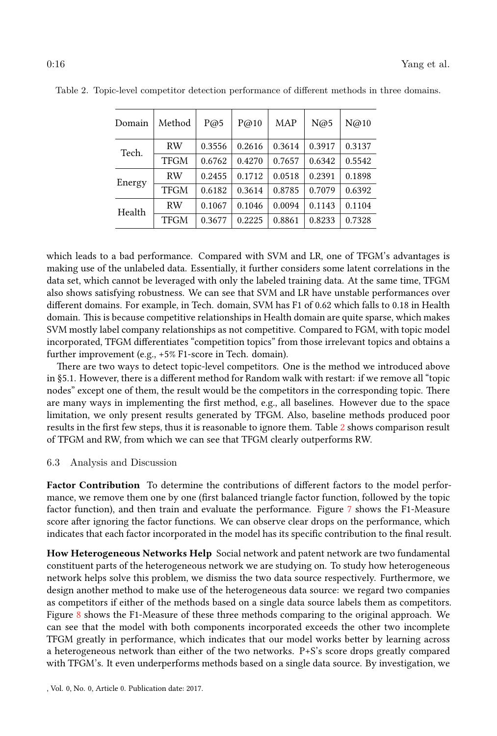| Domain | Method      | P@5    | P@10   | <b>MAP</b> | N@5    | N@10   |
|--------|-------------|--------|--------|------------|--------|--------|
| Tech.  | <b>RW</b>   | 0.3556 | 0.2616 | 0.3614     | 0.3917 | 0.3137 |
|        | <b>TFGM</b> | 0.6762 | 0.4270 | 0.7657     | 0.6342 | 0.5542 |
| Energy | <b>RW</b>   | 0.2455 | 0.1712 | 0.0518     | 0.2391 | 0.1898 |
|        | <b>TFGM</b> | 0.6182 | 0.3614 | 0.8785     | 0.7079 | 0.6392 |
| Health | <b>RW</b>   | 0.1067 | 0.1046 | 0.0094     | 0.1143 | 0.1104 |
|        | <b>TFGM</b> | 0.3677 | 0.2225 | 0.8861     | 0.8233 | 0.7328 |

Table 2. Topic-level competitor detection performance of different methods in three domains.

which leads to a bad performance. Compared with SVM and LR, one of TFGM's advantages is making use of the unlabeled data. Essentially, it further considers some latent correlations in the data set, which cannot be leveraged with only the labeled training data. At the same time, TFGM also shows satisfying robustness. We can see that SVM and LR have unstable performances over different domains. For example, in Tech. domain, SVM has F1 of 0.62 which falls to 0.18 in Health domain. This is because competitive relationships in Health domain are quite sparse, which makes SVM mostly label company relationships as not competitive. Compared to FGM, with topic model incorporated, TFGM differentiates "competition topics" from those irrelevant topics and obtains a further improvement (e.g., +5% F1-score in Tech. domain).

There are two ways to detect topic-level competitors. One is the method we introduced above in §5.1. However, there is a different method for Random walk with restart: if we remove all "topic nodes" except one of them, the result would be the competitors in the corresponding topic. There are many ways in implementing the first method, e.g., all baselines. However due to the space limitation, we only present results generated by TFGM. Also, baseline methods produced poor results in the first few steps, thus it is reasonable to ignore them. Table 2 shows comparison result of TFGM and RW, from which we can see that TFGM clearly outperfor[ms](#page-16-0) RW.

# 6.3 Analysis and Discussion

**Factor Contribution** To determine the contributions of different factors to the model performance, we remove them one by one (first balanced triangle factor function, followed by the topic factor function), and then train and evaluate the performance. Figure 7 shows the F1-Measure score after ignoring the factor functions. We can observe clear drops on the performance, which indicat[es](#page-16-1) that each factor incorporated in the model has its specific contribution to the final result.

**How Heterogeneous Networks Help** Social network and patent network are two fundamental constituent parts of the heterogeneous network we are studying on. To study how heterogeneous network helps solve this problem, we dismiss the two data source respectively. Furthermore, we design another method to make use of the heterogeneous data source: we regard two companies as competitors if either of the methods based on a single data source labels them as competitors. Figure 8 shows the F1-Measure of these three methods comparing to the original approach. We can see that the model with both components incorporated exceeds the other two incomplete TFGM greatly in performance, which indicates that our model works better by learning across a heterogeneous network than either of the two networks. P+S's score drops greatly compared with TFGM's. It even underperforms methods based on a single data source. By investigation, we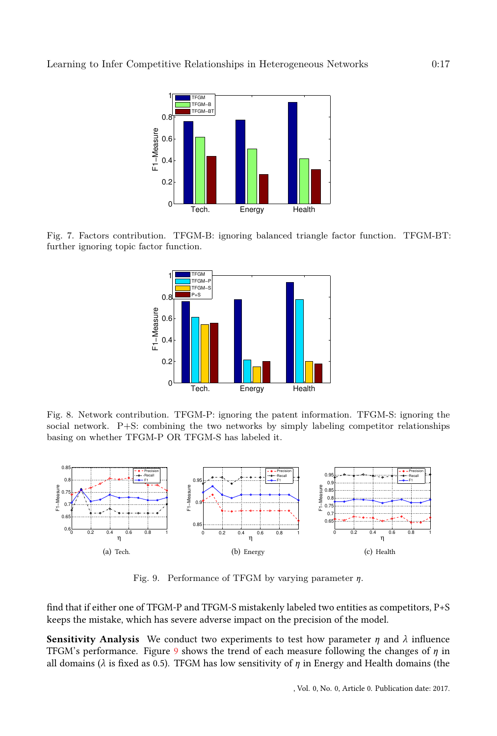<span id="page-16-0"></span>

<span id="page-16-1"></span>Fig. 7. Factors contribution. TFGM-B: ignoring balanced triangle factor function. TFGM-BT: further ignoring topic factor function.



<span id="page-16-2"></span>Fig. 8. Network contribution. TFGM-P: ignoring the patent information. TFGM-S: ignoring the social network. P+S: combining the two networks by simply labeling competitor relationships basing on whether TFGM-P OR TFGM-S has labeled it.



Fig. 9. [Pe](#page-16-2)rformance of TFGM by varying parameter *η*.

find that if either one of TFGM-P and TFGM-S mistakenly labeled two entities as competitors, P+S keeps the mistake, which has severe adverse impact on the precision of the model.

**Sensitivity Analysis** We conduct two experiments to test how parameter *η* and *λ* influence TFGM's performance. Figure 9 shows the trend of each measure following the changes of *η* in all domains (*λ* is fixed as 0.5). TFGM has low sensitivity of *η* in Energy and Health domains (the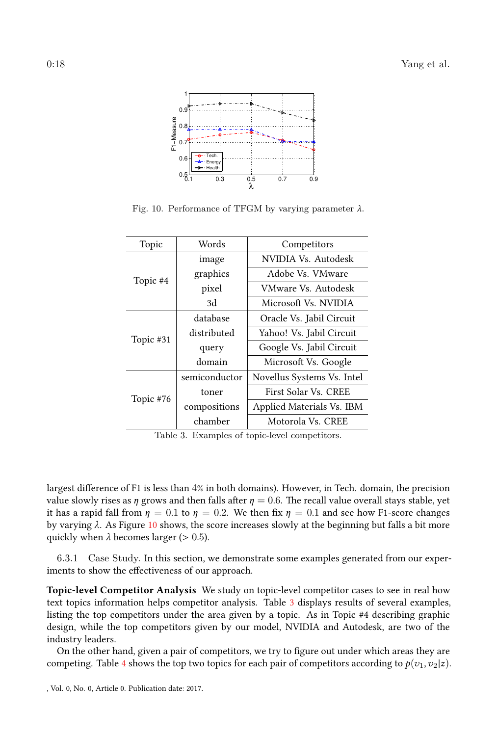

<span id="page-17-0"></span>Fig. 10. Performance of TFGM by varying parameter *λ*.

| Topic     | Words         | Competitors                |  |  |
|-----------|---------------|----------------------------|--|--|
|           | image         | <b>NVIDIA Vs. Autodesk</b> |  |  |
| Topic #4  | graphics      | Adobe Vs. VMware           |  |  |
|           | pixel         | VMware Vs. Autodesk        |  |  |
|           | 3d            | Microsoft Vs. NVIDIA       |  |  |
|           | database      | Oracle Vs. Jabil Circuit   |  |  |
| Topic #31 | distributed   | Yahoo! Vs. Jabil Circuit   |  |  |
|           | query         | Google Vs. Jabil Circuit   |  |  |
|           | domain        | Microsoft Vs. Google       |  |  |
| Topic #76 | semiconductor | Novellus Systems Vs. Intel |  |  |
|           | toner         | First Solar Vs. CREE       |  |  |
|           | compositions  | Applied Materials Vs. IBM  |  |  |
|           | chamber       | Motorola Vs. CREE          |  |  |

Table 3. Examples of topic-level competitors.

largest difference of F1 is less than 4% in both domains). However, in Tech. domain, the precision value slowly rises as *η* grows and then falls after  $\eta = 0.6$ . The recall value overall stays stable, yet it has a rapid fall from  $\eta = 0.1$  to  $\eta = 0.2$ . We then fix  $\eta = 0.1$  and see how F1-score changes by varying *λ*. As Figure 10 shows, the score increases slo[wly](#page-17-0) at the beginning but falls a bit more quickly when  $\lambda$  becomes larger ( $> 0.5$ ).

6.3.1 Case Study. In this section, we demonstrate some examples generated from our experiments to show the effectiveness of our approach.

**Topic-level Co[mp](#page-18-0)etitor Analysis** We study on topic-level competitor cases to see in real how text topics information helps competitor analysis. Table 3 displays results of several examples, listing the top competitors under the area given by a topic. As in Topic #4 describing graphic design, while the top competitors given by our model, NVIDIA and Autodesk, are two of the industry leaders.

On the other hand, given a pair of competitors, we try to figure out under which areas they are competing. Table 4 shows the top two topics for each pair of competitors according to  $p(v_1, v_2|z)$ .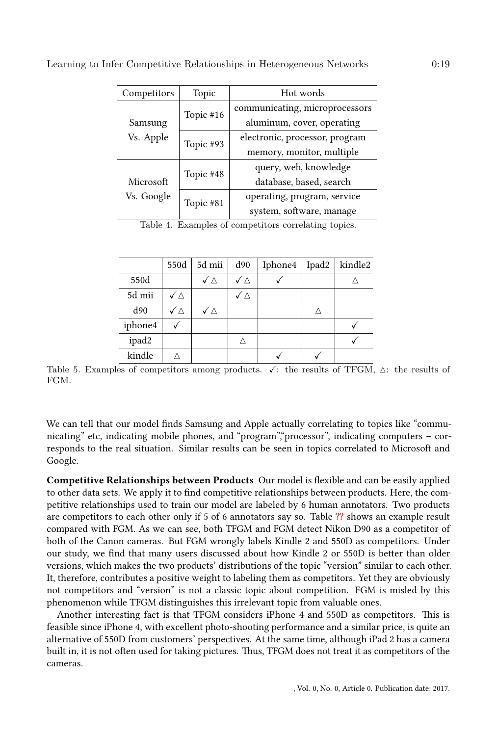<span id="page-18-0"></span>

| Competitors<br>Topic    |           | Hot words                      |  |  |
|-------------------------|-----------|--------------------------------|--|--|
|                         | Topic #16 | communicating, microprocessors |  |  |
| Samsung<br>Vs. Apple    |           | aluminum, cover, operating     |  |  |
|                         | Topic #93 | electronic, processor, program |  |  |
|                         |           | memory, monitor, multiple      |  |  |
|                         |           | query, web, knowledge          |  |  |
| Microsoft<br>Vs. Google | Topic #48 | database, based, search        |  |  |
|                         |           | operating, program, service    |  |  |
|                         | Topic #81 | system, software, manage       |  |  |
|                         |           |                                |  |  |

<span id="page-18-1"></span>Table 4. Examples of competitors correlating topics.

|         | 550d            | 5d mii                | d90                   | Iphone4 | Ipad <sub>2</sub> | kindle2 |
|---------|-----------------|-----------------------|-----------------------|---------|-------------------|---------|
| 550d    |                 | $\checkmark$ $\wedge$ | $\checkmark$ $\wedge$ |         |                   |         |
| 5d mii  | $\sqrt{\Delta}$ |                       |                       |         |                   |         |
| d90     | ✓△              | $\checkmark$ $\wedge$ |                       |         |                   |         |
| iphone4 |                 |                       |                       |         |                   |         |
| ipad2   |                 |                       |                       |         |                   |         |
| kindle  |                 |                       |                       |         |                   |         |

Table 5. Examples of competitors among products.  $\checkmark$ : the results of TFGM,  $\Delta$ : the results of FGM.

We can tell that our model finds Samsung and Apple actually correlating to topics like "communicating" etc, indicating mobile phones, and "program","processor", indicating computers – corresponds to the real situation. Similar results can be seen in topics [co](#page-18-1)rrelated to Microsoft and Google.

**Competitive Relationships between Products** Our model is flexible and can be easily applied to other data sets. We apply it to find competitive relationships between products. Here, the competitive relationships used to train our model are labeled by 6 human annotators. Two products are competitors to each other only if 5 of 6 annotators say so. Table ?? shows an example result compared with FGM. As we can see, both TFGM and FGM detect Nikon D90 as a competitor of both of the Canon cameras. But FGM wrongly labels Kindle 2 and 550D as competitors. Under our study, we find that many users discussed about how Kindle 2 or 550D is better than older versions, which makes the two products' distributions of the topic "version" similar to each other. It, therefore, contributes a positive weight to labeling them as competitors. Yet they are obviously not competitors and "version" is not a classic topic about competition. FGM is misled by this phenomenon while TFGM distinguishes this irrelevant topic from valuable ones.

Another interesting fact is that TFGM considers iPhone 4 and 550D as competitors. This is feasible since iPhone 4, with excellent photo-shooting performance and a similar price, is quite an alternative of 550D from customers' perspectives. At the same time, although iPad 2 has a camera built in, it is not often used for taking pictures. Thus, TFGM does not treat it as competitors of the cameras.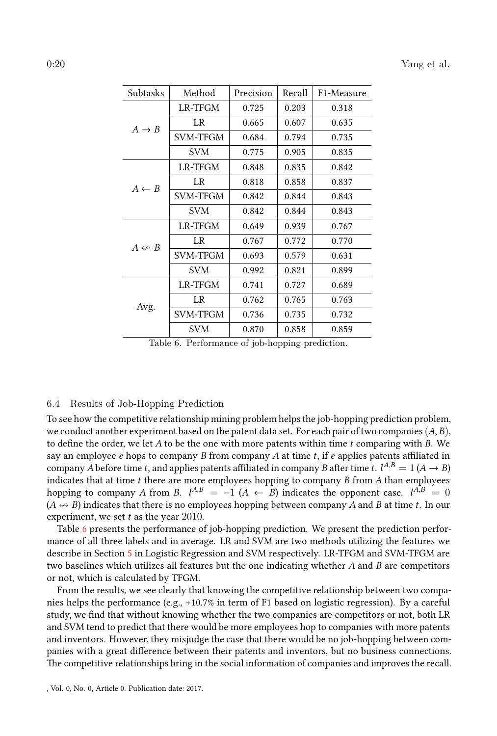<span id="page-19-0"></span>0:20 Yang et al.

| Subtasks              | Method          | Precision | Recall | F1-Measure |
|-----------------------|-----------------|-----------|--------|------------|
| $A \rightarrow B$     | LR-TFGM         | 0.725     | 0.203  | 0.318      |
|                       | LR              | 0.665     | 0.607  | 0.635      |
|                       | <b>SVM-TFGM</b> | 0.684     | 0.794  | 0.735      |
|                       | <b>SVM</b>      | 0.775     | 0.905  | 0.835      |
| $A \leftarrow B$      | LR-TFGM         | 0.848     | 0.835  | 0.842      |
|                       | LR              | 0.818     | 0.858  | 0.837      |
|                       | SVM-TFGM        | 0.842     | 0.844  | 0.843      |
|                       | <b>SVM</b>      | 0.842     | 0.844  | 0.843      |
| $A \leftrightarrow B$ | LR-TFGM         | 0.649     | 0.939  | 0.767      |
|                       | LR              | 0.767     | 0.772  | 0.770      |
|                       | <b>SVM-TFGM</b> | 0.693     | 0.579  | 0.631      |
|                       | SVM             | 0.992     | 0.821  | 0.899      |
| Avg.                  | LR-TFGM         | 0.741     | 0.727  | 0.689      |
|                       | LR              | 0.762     | 0.765  | 0.763      |
|                       | SVM-TFGM        | 0.736     | 0.735  | 0.732      |
|                       | SVM             | 0.870     | 0.858  | 0.859      |

Table 6. Performance of job-hopping prediction.

# 6.4 Results of Job-Hopping Prediction

To see how the competitive relationship mining problem helps the job-hopping prediction problem, we conduct another experiment based on the patent data set. For each pair of two companies(*A*, *B*), to define the order, we let *A* to be the one with more patents within time *t* comparing with *B*. We say an e[m](#page-19-0)ployee *e* hops to company *B* from company *A* at time *t*, if *e* applies patents affiliated in company *A* before time *t*, and applies patents affiliated in company *B* after time *t*.  $l^{A,B} = 1$   $(A \rightarrow B)$ indicates that at ti[me](#page-11-0) *t* there are more employees hopping to company *B* from *A* than employees hopping to company *A* from *B*.  $l^{A,B} = -1$  (*A* ← *B*) indicates the opponent case.  $l^{A,B} = 0$  $(A \leftrightarrow B)$  indicates that there is no employees hopping between company A and B at time t. In our experiment, we set *t* as the year 2010.

Table 6 presents the performance of job-hopping prediction. We present the prediction performance of all three labels and in average. LR and SVM are two methods utilizing the features we describe in Section 5 in Logistic Regression and SVM respectively. LR-TFGM and SVM-TFGM are two baselines which utilizes all features but the one indicating whether *A* and *B* are competitors or not, which is calculated by TFGM.

From the results, we see clearly that knowing the competitive relationship between two companies helps the performance (e.g., +10.7% in term of F1 based on logistic regression). By a careful study, we find that without knowing whether the two companies are competitors or not, both LR and SVM tend to predict that there would be more employees hop to companies with more patents and inventors. However, they misjudge the case that there would be no job-hopping between companies with a great difference between their patents and inventors, but no business connections. The competitive relationships bring in the social information of companies and improves the recall.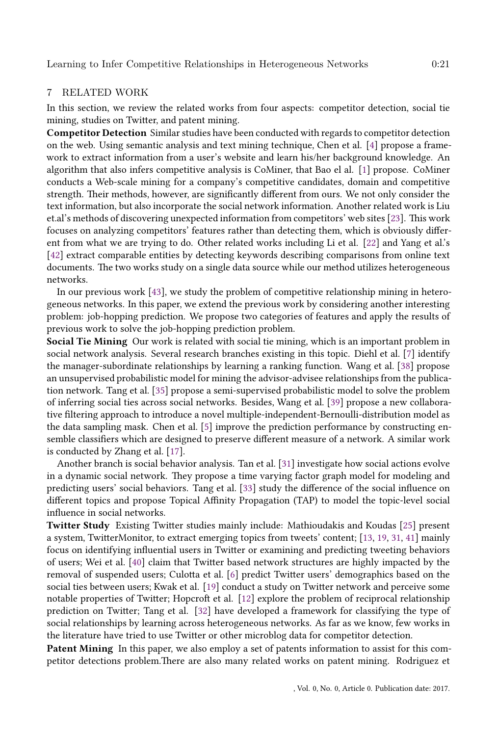# 7 RELATED WORK

In this section, we review the related works from four aspects: competitor detection, social tie mining, studies on Twitter, and patent mining.

**Competitor Detection** Similar studies have been conducted with regards to competitor detection on the web. Using semantic analysis and text mining technique, Chen et al. [4] pr[opo](#page-22-12)se a framework to extract information from a user's website and learn his/her background knowledge. An algorithm that also infers competitive analysis is CoMiner, that Bao el al. [1[\] p](#page-22-2)ropose. CoMiner [con](#page-23-1)ducts a Web-scale mining for a company's competitive candidates, domain and competitive strength. Their methods, however, are significantly different from ours. We not only consider the text information, but also incorporate the social network information. Another related work is Liu et.al's methods of discov[erin](#page-23-2)g unexpected information from competitors' web sites [23]. This work focuses on analyzing competitors' features rather than detecting them, which is obviously different from what we are trying to do. Other related works including Li et al. [22] and Yang et al.'s [42] extract comparable entities by detecting keywords describing comparisons from online text documents. The two works study on a single data source while our method utilizes heterogeneous networks.

In our previous work [43], we study the problem of competitive relationship mini[ng](#page-22-13) in heterogeneous networks. In this paper, we extend the previous work by considering another interesting problem: job-hopping pre[dic](#page-22-11)tion. We propose two categories of features and apply the results of previous work to solve the job-hopping prediction problem.

**Social Tie Mining** Our work is related with social tie mining, which is an important problem in social network analysis. Several rese[ar](#page-21-4)ch branches existing in this topic. Diehl et al. [7] identify the manager-subordinate relationships by learning a ranking function. Wang et al. [38] propose an unsupervised probabilistic [mo](#page-22-14)del for mining the advisor-advisee relationships from the publication network. Tang et al. [35] propose a semi-supervised [pr](#page-22-15)obabilistic model to solve the problem of inferring social ties across social networks. Besides, Wang et al. [39] propose a new collaborative filtering approach to introduce a novel mul[tip](#page-22-16)le-independent-Bernoulli-distribution model as the data sampling mask. Chen et al. [5] improve the prediction performance by constructing ensemble classifiers which are designed to preserve different measure of a network. A similar work is conducted by Zhang et al. [17].

Another branch is social behavior analysis. Tan et al. [31] investigate ho[w so](#page-22-17)[cial](#page-22-18) [act](#page-22-15)[ion](#page-23-3)s evolve in a dynamic social network. They propose a time varying factor graph model for modeling and predicting users' so[cial](#page-23-4) behaviors. Tang et al. [33] study the difference of the social influence on different topics and propose Topical Affini[ty](#page-21-5) Propagation (TAP) to model the topic-level social influence in social networks.

**Twitter Study** Existing Twitter studies main[ly i](#page-22-19)nclude: Mathioudakis and Koudas [25] present a system, TwitterMonitor, to extract [em](#page-22-20)erging topics from tweets' content; [13, 19, 31, 41] mainly focus on identifying influential users in Twitter or examining and predicting tweeting behaviors of users; Wei et al. [40] claim that Twitter based network structures are highly impacted by the removal of suspended users; Culotta et al. [6] predict Twitter users' demographics based on the social ties between users; Kwak et al. [19] conduct a study on Twitter network and perceive some notable properties of Twitter; Hopcroft et al. [12] explore the problem of reciprocal relationship prediction on Twitter; Tang et al. [32] have developed a framework for classifying the type of social relationships by learning across heterogeneous networks. As far as we know, few works in the literature have tried to use Twitter or other microblog data for competitor detection.

**Patent Mining** In this paper, we also employ a set of patents information to assist for this competitor detections problem.There are also many related works on patent mining. Rodriguez et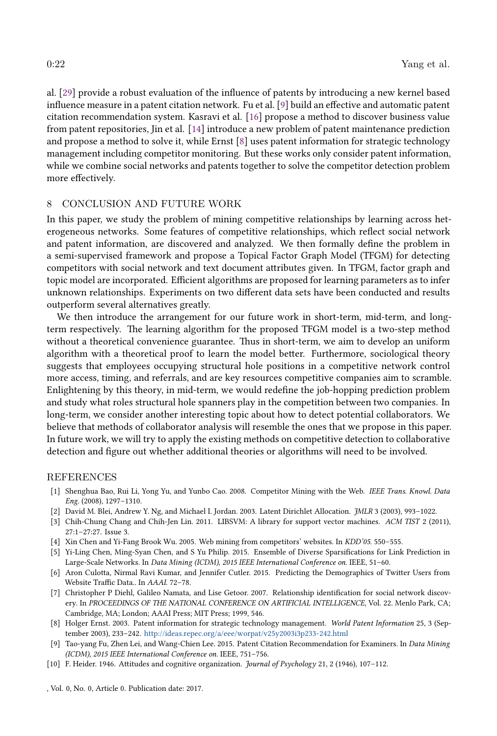al. [29] provide a robust evaluation of the influence of patents by introducing a new kernel based influence measure in a patent citation network. Fu et al. [9] build an effective and automatic patent citation recommendation system. Kasravi et al. [16] propose a method to discover business value from patent repositories, Jin et al. [14] introduce a new problem of patent maintenance prediction and propose a method to solve it, while Ernst [8] uses patent information for strategic technology management including competitor monitoring. But these works only consider patent information, while we combine social networks and patents together to solve the competitor detection problem more effectively.

# 8 CONCLUSION AND FUTURE WORK

In this paper, we study the problem of mining competitive relationships by learning across heterogeneous networks. Some features of competitive relationships, which reflect social network and patent information, are discovered and analyzed. We then formally define the problem in a semi-supervised framework and propose a Topical Factor Graph Model (TFGM) for detecting competitors with social network and text document attributes given. In TFGM, factor graph and topic model are incorporated. Efficient algorithms are proposed for learning parameters as to infer unknown relationships. Experiments on two different data sets have been conducted and results outperform several alternatives greatly.

We then introduce the arrangement for our future work in short-term, mid-term, and longterm respectively. The learning algorithm for the proposed TFGM model is a two-step method without a theoretical convenience guarantee. Thus in short-term, we aim to develop an uniform algorithm with a theoretical proof to learn the model better. Furthermore, sociological theory suggests that employees occupying structural hole positions in a competitive network control more access, timing, and referrals, and are key resources competitive companies aim to scramble. Enlightening by this theory, in mid-term, we would redefine the job-hopping prediction problem and study what roles structural hole spanners play in the competition between two companies. In long-term, we consider another interesting topic about how to detect potential collaborators. We believe that methods of collaborator analysis will resemble the ones that we propose in this paper. In future work, we will try to apply the existing methods on competitive detection to collaborative detection and figure out whether additional theories or algorithms will need to be involved.

#### <span id="page-21-4"></span><span id="page-21-3"></span><span id="page-21-2"></span><span id="page-21-0"></span>REFERENCES

- <span id="page-21-5"></span>[1] Shenghua Bao, Rui Li, Yong Yu, and Yunbo Cao. 2008. Competitor Mining with the Web. *IEEE Trans. Knowl. Data Eng.* (2008), 1297–1310.
- [2] David M. Blei, Andrew Y. Ng, and Michael I. Jordan. 2003. Latent Dirichlet Allocation. *JMLR* 3 (2003), 993–1022.
- [3] Chih-Chung Chang and Chih-Jen Lin. 2011. LIBSVM: A library for support vector machines. *ACM TIST* 2 (2011), 27:1–27:27. Issue 3.
- [4] Xin Chen and Yi-Fang Brook Wu. 2005. Web mining from competitors' websites. In *KDD'05*. 550–555.
- [5] Yi-Ling Chen, Ming-Syan Chen, and S Yu Philip. 2015. Ensemble of Diverse Sparsifications for Link Prediction in Large-Scale Networks. In *[Data Mining \(ICDM\), 2015 IEEE International Conference on](http://ideas.repec.org/a/eee/worpat/v25y2003i3p233-242.html)*. IEEE, 51–60.
- [6] Aron Culotta, Nirmal Ravi Kumar, and Jennifer Cutler. 2015. Predicting the Demographics of Twitter Users from Website Traffic Data.. In *AAAI*. 72–78.
- <span id="page-21-1"></span>[7] Christopher P Diehl, Galileo Namata, and Lise Getoor. 2007. Relationship identification for social network discovery. In *PROCEEDINGS OF THE NATIONAL CONFERENCE ON ARTIFICIAL INTELLIGENCE*, Vol. 22. Menlo Park, CA; Cambridge, MA; London; AAAI Press; MIT Press; 1999, 546.
- [8] Holger Ernst. 2003. Patent information for strategic technology management. *World Patent Information* 25, 3 (September 2003), 233–242. http://ideas.repec.org/a/eee/worpat/v25y2003i3p233-242.html
- [9] Tao-yang Fu, Zhen Lei, and Wang-Chien Lee. 2015. Patent Citation Recommendation for Examiners. In *Data Mining (ICDM), 2015 IEEE International Conference on*. IEEE, 751–756.
- [10] F. Heider. 1946. Attitudes and cognitive organization. *Journal of Psychology* 21, 2 (1946), 107–112.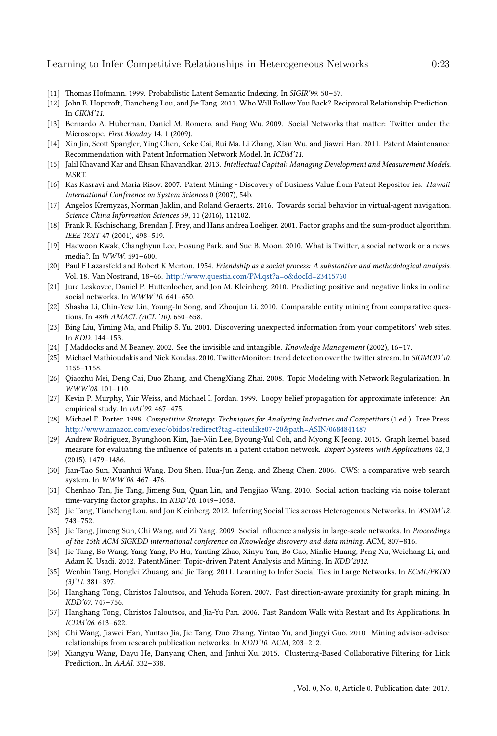- <span id="page-22-19"></span><span id="page-22-17"></span><span id="page-22-4"></span>[11] Thomas Hofmann. 1999. Probabilistic Latent Semantic Indexing. In *SIGIR'99*. 50–57.
- [12] John E. Hopcroft, Tiancheng Lou, and Jie Tang. 2011. Who Will Follow You Back? Reciprocal Relationship Prediction.. In *CIKM'11*.
- <span id="page-22-14"></span>[13] Bernardo A. Huberman, Daniel M. Romero, and Fang Wu. 2009. Social Networks that matter: Twitter under the Microscope. *First Monday* 14, 1 (2009).
- <span id="page-22-5"></span>[14] Xin Jin, Scott Spangler, Ying Chen, Keke Cai, Rui Ma, Li Zhang, Xian Wu, and Jiawei Han. 2011. Patent Maintenance Recommendation with Patent Information Network Model. In *ICDM'11*.
- <span id="page-22-18"></span>[15] Jalil Khavand Kar and Ehsan Khavandkar. 2013. *Intellectual Capital: Managing Development and Measurement Models*. MSRT.
- <span id="page-22-3"></span>[16] Kas Kasravi and Maria Risov. 2007. Patent Mining - Discovery of Business Value from Patent Repositor ies. *Hawaii International Conference on System Sciences* 0 (2007), 54b.
- <span id="page-22-10"></span>[17] Angelos Kremyzas, Norman J[aklin, and Roland Geraerts. 2016. Towards social behav](http://www.questia.com/PM.qst?a=o&docId=23415760)ior in virtual-agent navigation. *Science China Information Sciences* 59, 11 (2016), 112102.
- <span id="page-22-2"></span>[18] Frank R. Kschischang, Brendan J. Frey, and Hans andrea Loeliger. 2001. Factor graphs and the sum-product algorithm. *IEEE TOIT* 47 (2001), 498–519.
- <span id="page-22-12"></span>[19] Haewoon Kwak, Changhyun Lee, Hosung Park, and Sue B. Moon. 2010. What is Twitter, a social network or a news media?. In *WWW*. 591–600.
- <span id="page-22-6"></span>[20] Paul F Lazarsfeld and Robert K Merton. 1954. *Friendship as a social process: A substantive and methodological analysis*. Vol. 18. Van Nostrand, 18–66. http://www.questia.com/PM.qst?a=o&docId=23415760
- [21] Jure Leskovec, Daniel P. Huttenlocher, and Jon M. Kleinberg. 2010. Predicting positive and negative links in online social networks. In *WWW'10*. 641–650.
- [22] Shasha Li, Chin-Yew Lin, Young-In Song, and Zhoujun Li. 2010. Comparable entity mining from comparative questions. In *48th AMACL (ACL '10)*. 650–658.
- [23] Bing Liu, Yiming Ma, and Philip S. Yu. 2001. Discovering unexpected information from your competitors' web sites. In *KDD*. 144–153.
- <span id="page-22-0"></span>[24] J Maddocks and M Beaney. 2002. See the invisible and intangible. *Knowledge Management* (2002), 16–17.
- [25] [Michael Mathioudakis and Nick Koudas. 2010. TwitterMonitor: trend detection over the twitt](http://www.amazon.com/exec/obidos/redirect?tag=citeulike07-20&path=ASIN/0684841487)er stream. In *SIGMOD'10*. 1155–1158.
- [26] Qiaozhu Mei, Deng Cai, Duo Zhang, and ChengXiang Zhai. 2008. Topic Modeling with Network Regularization. In *WWW'08*. 101–110.
- <span id="page-22-1"></span>[27] Kevin P. Murphy, Yair Weiss, and Michael I. Jordan. 1999. Loopy belief propagation for approximate inference: An empirical study. In *UAI'99*. 467–475.
- <span id="page-22-15"></span>[28] Michael E. Porter. 1998. *Competitive Strategy: Techniques for Analyzing Industries and Competitors* (1 ed.). Free Press. http://www.amazon.com/exec/obidos/redirect?tag=citeulike07-20&path=ASIN/0684841487
- <span id="page-22-20"></span><span id="page-22-16"></span>[29] Andrew Rodriguez, Byunghoon Kim, Jae-Min Lee, Byoung-Yul Coh, and Myong K Jeong. 2015. Graph kernel based measure for evaluating the influence of patents in a patent citation network. *Expert Systems with Applications* 42, 3 (2015), 1479–1486.
- <span id="page-22-7"></span>[30] Jian-Tao Sun, Xuanhui Wang, Dou Shen, Hua-Jun Zeng, and Zheng Chen. 2006. CWS: a comparative web search system. In *WWW'06*. 467–476.
- <span id="page-22-11"></span>[31] Chenhao Tan, Jie Tang, Jimeng Sun, Quan Lin, and Fengjiao Wang. 2010. Social action tracking via noise tolerant time-varying factor graphs.. In *KDD'10*. 1049–1058.
- <span id="page-22-9"></span>[32] Jie Tang, Tiancheng Lou, and Jon Kleinberg. 2012. Inferring Social Ties across Heterogenous Networks. In *WSDM'12*. 743–752.
- <span id="page-22-8"></span>[33] Jie Tang, Jimeng Sun, Chi Wang, and Zi Yang. 2009. Social influence analysis in large-scale networks. In *Proceedings of the 15th ACM SIGKDD international conference on Knowledge discovery and data mining*. ACM, 807–816.
- <span id="page-22-13"></span>[34] Jie Tang, Bo Wang, Yang Yang, Po Hu, Yanting Zhao, Xinyu Yan, Bo Gao, Minlie Huang, Peng Xu, Weichang Li, and Adam K. Usadi. 2012. PatentMiner: Topic-driven Patent Analysis and Mining. In *KDD'2012*.
- [35] Wenbin Tang, Honglei Zhuang, and Jie Tang. 2011. Learning to Infer Social Ties in Large Networks. In *ECML/PKDD (3)'11*. 381–397.
- [36] Hanghang Tong, Christos Faloutsos, and Yehuda Koren. 2007. Fast direction-aware proximity for graph mining. In *KDD'07*. 747–756.
- [37] Hanghang Tong, Christos Faloutsos, and Jia-Yu Pan. 2006. Fast Random Walk with Restart and Its Applications. In *ICDM'06*. 613–622.
- [38] Chi Wang, Jiawei Han, Yuntao Jia, Jie Tang, Duo Zhang, Yintao Yu, and Jingyi Guo. 2010. Mining advisor-advisee relationships from research publication networks. In *KDD'10*. ACM, 203–212.
- [39] Xiangyu Wang, Dayu He, Danyang Chen, and Jinhui Xu. 2015. Clustering-Based Collaborative Filtering for Link Prediction.. In *AAAI*. 332–338.